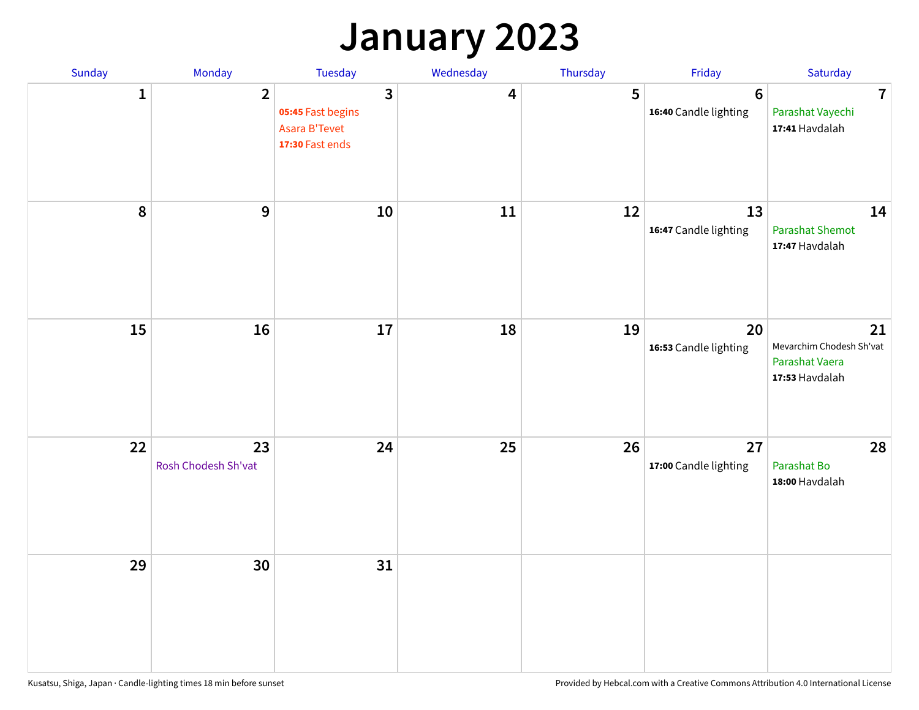### **January 2023**

| Sunday    | Monday                    | Tuesday                                                                                 | Wednesday | Thursday | Friday                                   | Saturday                                                           |
|-----------|---------------------------|-----------------------------------------------------------------------------------------|-----------|----------|------------------------------------------|--------------------------------------------------------------------|
| 1         | $\overline{2}$            | $\overline{\mathbf{3}}$<br>05:45 Fast begins<br><b>Asara B'Tevet</b><br>17:30 Fast ends | 4         | 5        | $6\phantom{1}6$<br>16:40 Candle lighting | $\overline{7}$<br>Parashat Vayechi<br>17:41 Havdalah               |
| $\pmb{8}$ | 9                         | 10                                                                                      | 11        | 12       | 13<br>16:47 Candle lighting              | 14<br><b>Parashat Shemot</b><br>17:47 Havdalah                     |
| 15        | 16                        | 17                                                                                      | 18        | 19       | 20<br>16:53 Candle lighting              | 21<br>Mevarchim Chodesh Sh'vat<br>Parashat Vaera<br>17:53 Havdalah |
| 22        | 23<br>Rosh Chodesh Sh'vat | 24                                                                                      | 25        | 26       | 27<br>17:00 Candle lighting              | 28<br>Parashat Bo<br>18:00 Havdalah                                |
| 29        | 30                        | 31                                                                                      |           |          |                                          |                                                                    |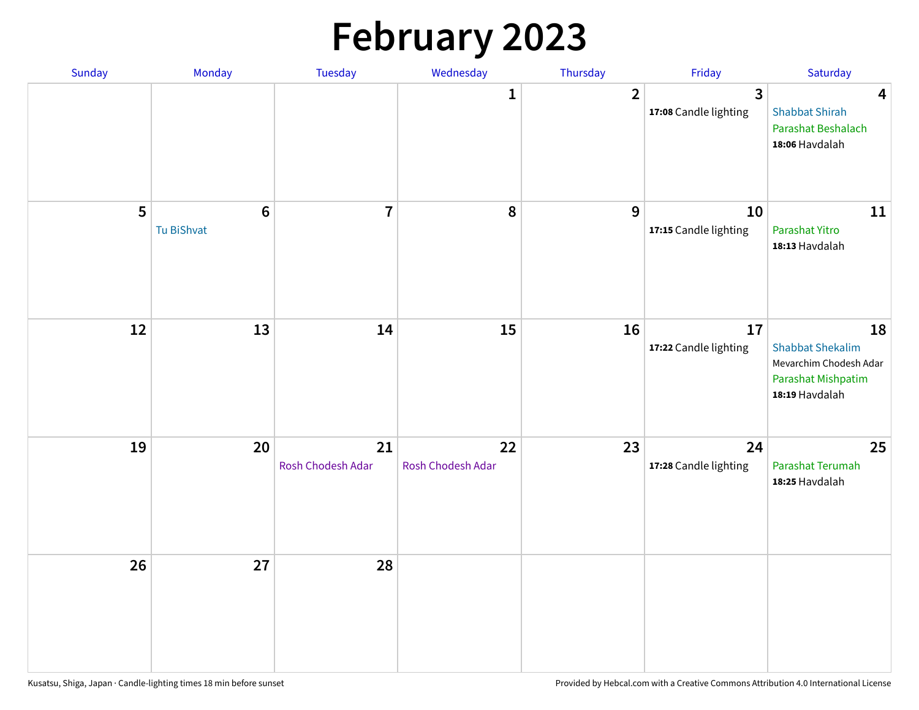# **February 2023**

| Sunday | Monday                        | Tuesday                 | Wednesday               | Thursday       | Friday                                  | Saturday                                                                                               |
|--------|-------------------------------|-------------------------|-------------------------|----------------|-----------------------------------------|--------------------------------------------------------------------------------------------------------|
|        |                               |                         | 1                       | $\overline{2}$ | $\overline{3}$<br>17:08 Candle lighting | $\overline{\mathbf{4}}$<br><b>Shabbat Shirah</b><br>Parashat Beshalach<br>18:06 Havdalah               |
| 5      | $6\phantom{1}6$<br>Tu BiShvat | $\overline{7}$          | 8                       | 9              | 10<br>17:15 Candle lighting             | 11<br>Parashat Yitro<br>18:13 Havdalah                                                                 |
| 12     | 13                            | 14                      | 15                      | 16             | 17<br>17:22 Candle lighting             | 18<br><b>Shabbat Shekalim</b><br>Mevarchim Chodesh Adar<br><b>Parashat Mishpatim</b><br>18:19 Havdalah |
| 19     | 20                            | 21<br>Rosh Chodesh Adar | 22<br>Rosh Chodesh Adar | 23             | 24<br>17:28 Candle lighting             | 25<br>Parashat Terumah<br>18:25 Havdalah                                                               |
| 26     | 27                            | 28                      |                         |                |                                         |                                                                                                        |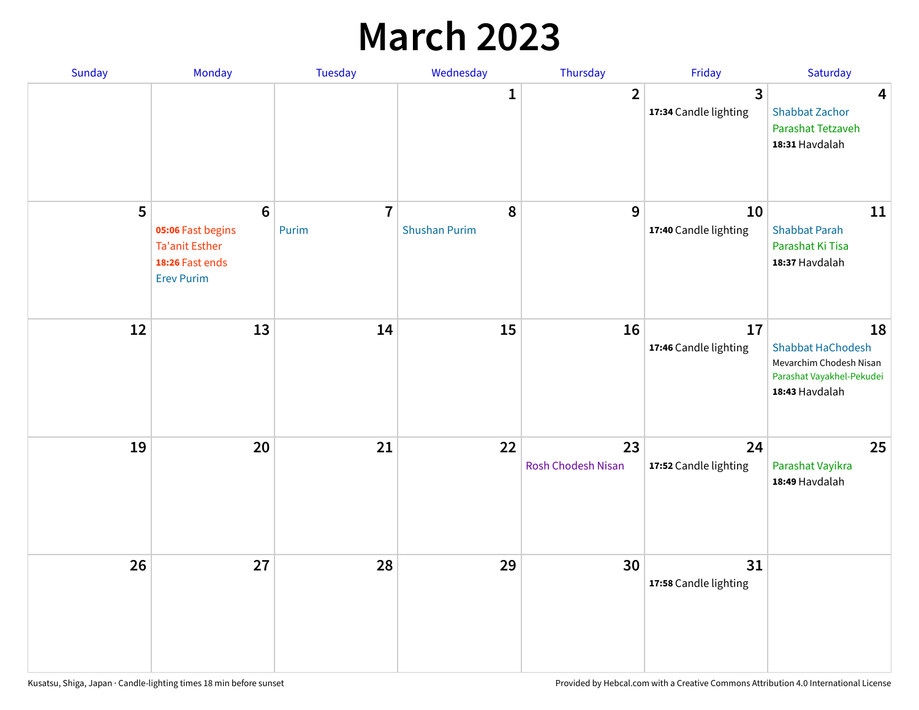### **March 2023**

| Sunday | Monday                                                                                               | Tuesday                 | Wednesday                 | Thursday                 | Friday                      | Saturday                                                                                                 |
|--------|------------------------------------------------------------------------------------------------------|-------------------------|---------------------------|--------------------------|-----------------------------|----------------------------------------------------------------------------------------------------------|
|        |                                                                                                      |                         | 1                         | $\overline{2}$           | 3<br>17:34 Candle lighting  | $\overline{\mathbf{4}}$<br><b>Shabbat Zachor</b><br>Parashat Tetzaveh<br>18:31 Havdalah                  |
| 5      | $6\phantom{a}$<br>05:06 Fast begins<br><b>Ta'anit Esther</b><br>18:26 Fast ends<br><b>Erev Purim</b> | $\overline{7}$<br>Purim | 8<br><b>Shushan Purim</b> | 9                        | 10<br>17:40 Candle lighting | 11<br><b>Shabbat Parah</b><br>Parashat Ki Tisa<br>18:37 Havdalah                                         |
| 12     | 13                                                                                                   | 14                      | 15                        | 16                       | 17<br>17:46 Candle lighting | 18<br><b>Shabbat HaChodesh</b><br>Mevarchim Chodesh Nisan<br>Parashat Vayakhel-Pekudei<br>18:43 Havdalah |
| 19     | 20                                                                                                   | 21                      | 22                        | 23<br>Rosh Chodesh Nisan | 24<br>17:52 Candle lighting | 25<br>Parashat Vayikra<br>18:49 Havdalah                                                                 |
| 26     | 27                                                                                                   | 28                      | 29                        | 30                       | 31<br>17:58 Candle lighting |                                                                                                          |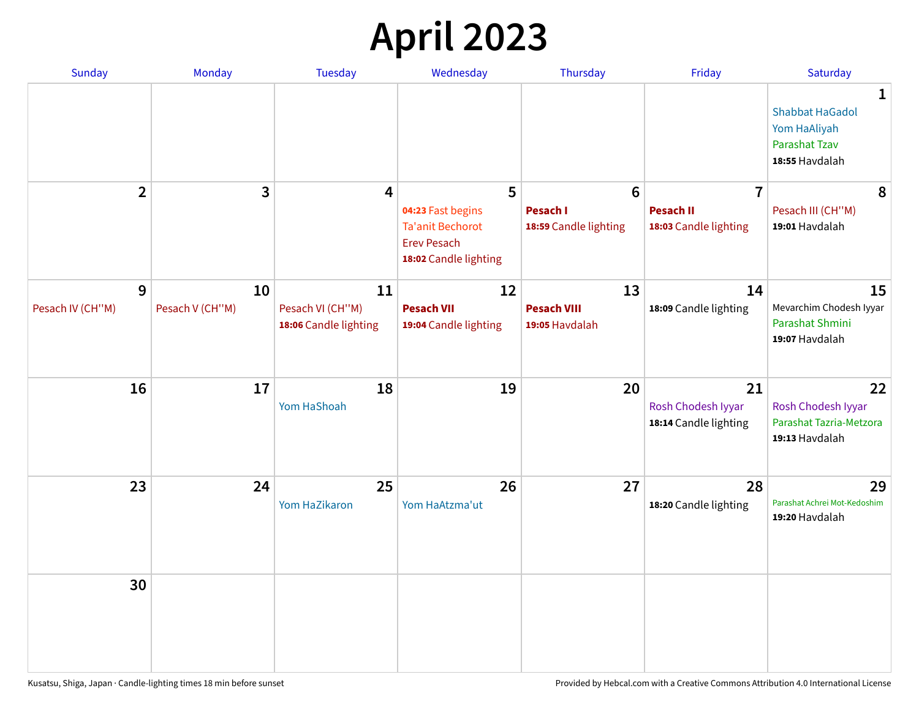## **April 2023**

| Sunday           | Monday          | <b>Tuesday</b>                            | Wednesday                                                                                   | Thursday                                 | Friday                                            | Saturday                                                                              |
|------------------|-----------------|-------------------------------------------|---------------------------------------------------------------------------------------------|------------------------------------------|---------------------------------------------------|---------------------------------------------------------------------------------------|
|                  |                 |                                           |                                                                                             |                                          |                                                   | 1<br><b>Shabbat HaGadol</b><br>Yom HaAliyah<br><b>Parashat Tzav</b><br>18:55 Havdalah |
| $\overline{2}$   | 3               | 4                                         | 5                                                                                           | $6\phantom{1}6$                          | $\overline{7}$                                    | 8                                                                                     |
|                  |                 |                                           | 04:23 Fast begins<br><b>Ta'anit Bechorot</b><br><b>Erev Pesach</b><br>18:02 Candle lighting | <b>Pesach I</b><br>18:59 Candle lighting | <b>Pesach II</b><br>18:03 Candle lighting         | Pesach III (CH"M)<br>19:01 Havdalah                                                   |
| 9                | 10              | 11                                        | 12                                                                                          | 13                                       | 14                                                | 15                                                                                    |
| Pesach IV (CH"M) | Pesach V (CH"M) | Pesach VI (CH"M)<br>18:06 Candle lighting | <b>Pesach VII</b><br>19:04 Candle lighting                                                  | <b>Pesach VIII</b><br>19:05 Havdalah     | 18:09 Candle lighting                             | Mevarchim Chodesh Iyyar<br>Parashat Shmini<br>19:07 Havdalah                          |
| 16               | 17              | 18<br>Yom HaShoah                         | 19                                                                                          | 20                                       | 21<br>Rosh Chodesh Iyyar<br>18:14 Candle lighting | 22<br>Rosh Chodesh Iyyar<br>Parashat Tazria-Metzora<br>19:13 Havdalah                 |
| 23               | 24              | 25<br>Yom HaZikaron                       | 26<br>Yom HaAtzma'ut                                                                        | 27                                       | 28<br>18:20 Candle lighting                       | 29<br>Parashat Achrei Mot-Kedoshim<br>19:20 Havdalah                                  |
| 30               |                 |                                           |                                                                                             |                                          |                                                   |                                                                                       |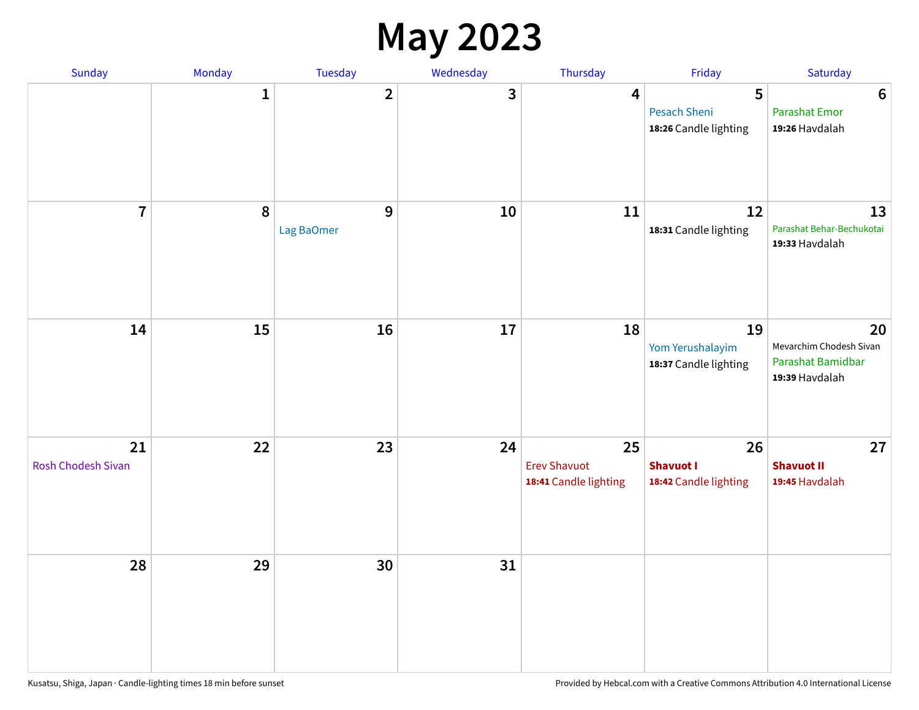#### **May 2023**

| Sunday                   | Monday       | Tuesday         | Wednesday               | Thursday                                           | Friday                                          | Saturday                                                             |
|--------------------------|--------------|-----------------|-------------------------|----------------------------------------------------|-------------------------------------------------|----------------------------------------------------------------------|
|                          | $\mathbf{1}$ | $\overline{2}$  | $\overline{\mathbf{3}}$ | $\overline{\mathbf{4}}$                            | 5<br>Pesach Sheni<br>18:26 Candle lighting      | $\boldsymbol{6}$<br><b>Parashat Emor</b><br>19:26 Havdalah           |
| $\overline{7}$           | $\pmb{8}$    | 9<br>Lag BaOmer | 10                      | 11                                                 | 12<br>18:31 Candle lighting                     | 13<br>Parashat Behar-Bechukotai<br>19:33 Havdalah                    |
| 14                       | 15           | 16              | $17\,$                  | 18                                                 | 19<br>Yom Yerushalayim<br>18:37 Candle lighting | 20<br>Mevarchim Chodesh Sivan<br>Parashat Bamidbar<br>19:39 Havdalah |
| 21<br>Rosh Chodesh Sivan | 22           | 23              | 24                      | 25<br><b>Erev Shavuot</b><br>18:41 Candle lighting | 26<br><b>Shavuot I</b><br>18:42 Candle lighting | 27<br><b>Shavuot II</b><br>19:45 Havdalah                            |
| 28                       | 29           | 30              | 31                      |                                                    |                                                 |                                                                      |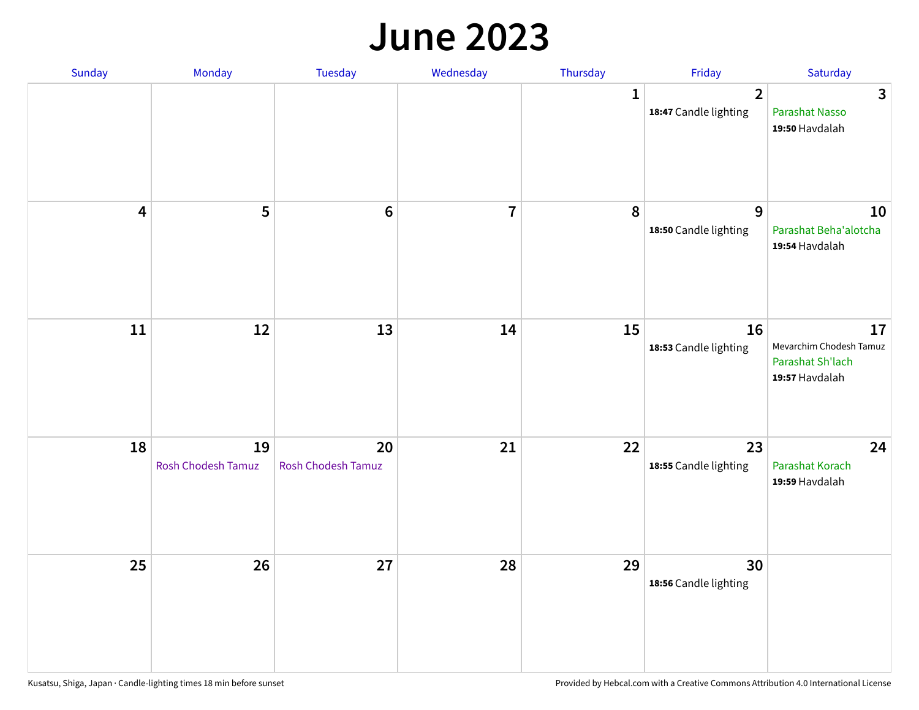#### **June 2023**

| Sunday                  | Monday                   | Tuesday                         | Wednesday      | Thursday    | Friday                                           | Saturday                                                            |
|-------------------------|--------------------------|---------------------------------|----------------|-------------|--------------------------------------------------|---------------------------------------------------------------------|
|                         |                          |                                 |                | $\mathbf 1$ | $\overline{\mathbf{2}}$<br>18:47 Candle lighting | $\overline{3}$<br>Parashat Nasso<br>19:50 Havdalah                  |
| $\overline{\mathbf{4}}$ | 5                        | $\bf 6$                         | $\overline{7}$ | 8           | 9<br>18:50 Candle lighting                       | 10<br>Parashat Beha'alotcha<br>19:54 Havdalah                       |
| ${\bf 11}$              | 12                       | 13                              | 14             | 15          | 16<br>18:53 Candle lighting                      | 17<br>Mevarchim Chodesh Tamuz<br>Parashat Sh'lach<br>19:57 Havdalah |
| 18                      | 19<br>Rosh Chodesh Tamuz | 20<br><b>Rosh Chodesh Tamuz</b> | 21             | 22          | 23<br>18:55 Candle lighting                      | 24<br>Parashat Korach<br>19:59 Havdalah                             |
| 25                      | 26                       | 27                              | 28             | 29          | 30<br>18:56 Candle lighting                      |                                                                     |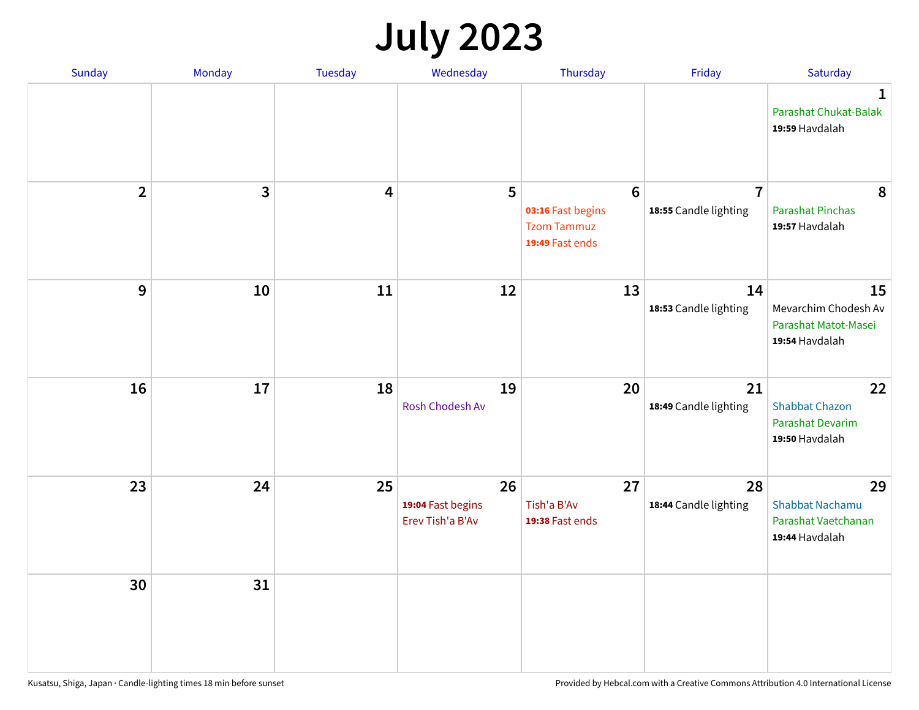## **July 2023**

| Sunday         | Monday       | <b>Tuesday</b>          | Wednesday                                   | Thursday                                                                      | Friday                                  | Saturday                                                              |
|----------------|--------------|-------------------------|---------------------------------------------|-------------------------------------------------------------------------------|-----------------------------------------|-----------------------------------------------------------------------|
|                |              |                         |                                             |                                                                               |                                         | $\mathbf 1$<br>Parashat Chukat-Balak<br>19:59 Havdalah                |
| $\overline{2}$ | $\mathbf{3}$ | $\overline{\mathbf{4}}$ | 5                                           | $6\phantom{1}6$<br>03:16 Fast begins<br><b>Tzom Tammuz</b><br>19:49 Fast ends | $\overline{7}$<br>18:55 Candle lighting | 8<br><b>Parashat Pinchas</b><br>19:57 Havdalah                        |
| 9              | 10           | 11                      | 12                                          | 13                                                                            | 14<br>18:53 Candle lighting             | 15<br>Mevarchim Chodesh Av<br>Parashat Matot-Masei<br>19:54 Havdalah  |
| 16             | 17           | 18                      | 19<br>Rosh Chodesh Av                       | 20                                                                            | 21<br>18:49 Candle lighting             | 22<br><b>Shabbat Chazon</b><br>Parashat Devarim<br>19:50 Havdalah     |
| 23             | 24           | 25                      | 26<br>19:04 Fast begins<br>Erev Tish'a B'Av | 27<br>Tish'a B'Av<br>19:38 Fast ends                                          | 28<br>18:44 Candle lighting             | 29<br><b>Shabbat Nachamu</b><br>Parashat Vaetchanan<br>19:44 Havdalah |
| 30             | 31           |                         |                                             |                                                                               |                                         |                                                                       |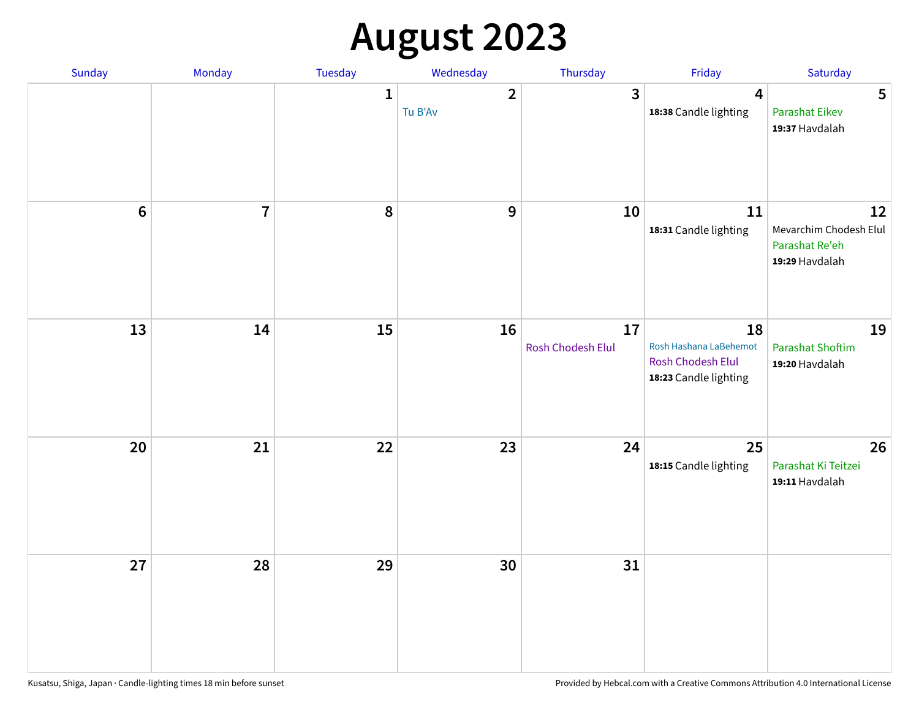# **August 2023**

| Sunday           | Monday         | Tuesday      | Wednesday                 | Thursday                | Friday                                                                     | Saturday                                                         |
|------------------|----------------|--------------|---------------------------|-------------------------|----------------------------------------------------------------------------|------------------------------------------------------------------|
|                  |                | $\mathbf{1}$ | $\overline{2}$<br>Tu B'Av | 3                       | $\overline{\mathbf{4}}$<br>18:38 Candle lighting                           | 5<br><b>Parashat Eikev</b><br>19:37 Havdalah                     |
| $\boldsymbol{6}$ | $\overline{7}$ | 8            | 9                         | 10                      | $11\,$<br>18:31 Candle lighting                                            | 12<br>Mevarchim Chodesh Elul<br>Parashat Re'eh<br>19:29 Havdalah |
| 13               | 14             | 15           | 16                        | 17<br>Rosh Chodesh Elul | 18<br>Rosh Hashana LaBehemot<br>Rosh Chodesh Elul<br>18:23 Candle lighting | 19<br><b>Parashat Shoftim</b><br>19:20 Havdalah                  |
| 20               | 21             | 22           | 23                        | 24                      | 25<br>18:15 Candle lighting                                                | 26<br>Parashat Ki Teitzei<br>19:11 Havdalah                      |
| 27               | 28             | 29           | 30                        | 31                      |                                                                            |                                                                  |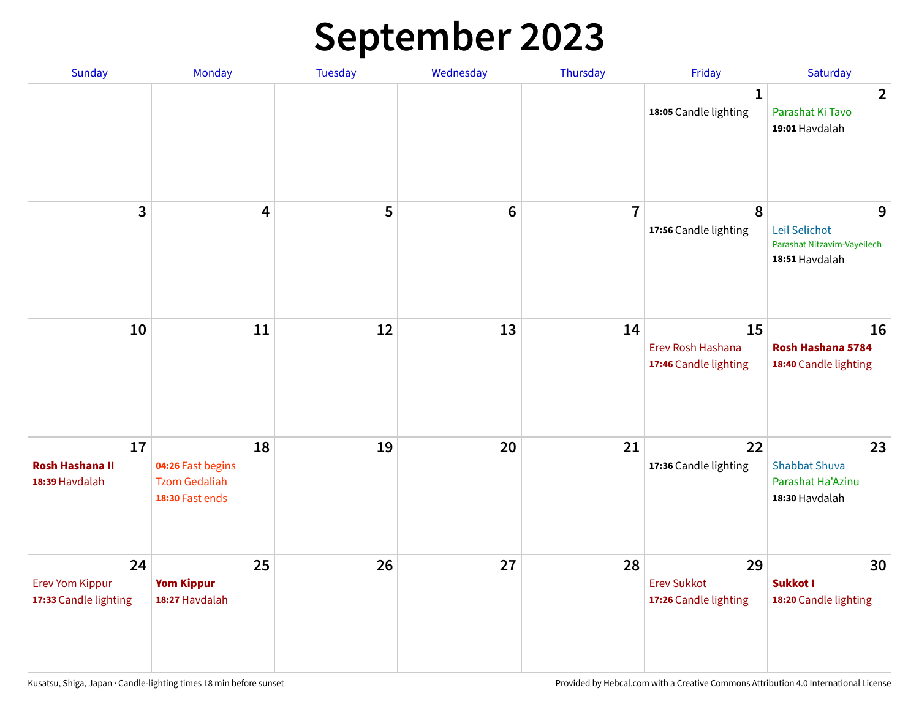## **September 2023**

| Sunday                                                | Monday                                                             | Tuesday | Wednesday      | Thursday       | Friday                                            | Saturday                                                            |
|-------------------------------------------------------|--------------------------------------------------------------------|---------|----------------|----------------|---------------------------------------------------|---------------------------------------------------------------------|
|                                                       |                                                                    |         |                |                | 1<br>18:05 Candle lighting                        | $\overline{2}$<br>Parashat Ki Tavo<br>19:01 Havdalah                |
| 3                                                     | $\overline{\mathbf{4}}$                                            | 5       | $6\phantom{1}$ | $\overline{7}$ | 8<br>17:56 Candle lighting                        | 9<br>Leil Selichot<br>Parashat Nitzavim-Vayeilech<br>18:51 Havdalah |
| 10                                                    | 11                                                                 | 12      | 13             | 14             | 15<br>Erev Rosh Hashana<br>17:46 Candle lighting  | 16<br>Rosh Hashana 5784<br>18:40 Candle lighting                    |
| 17<br><b>Rosh Hashana II</b><br>18:39 Havdalah        | 18<br>04:26 Fast begins<br><b>Tzom Gedaliah</b><br>18:30 Fast ends | 19      | 20             | 21             | 22<br>17:36 Candle lighting                       | 23<br><b>Shabbat Shuva</b><br>Parashat Ha'Azinu<br>18:30 Havdalah   |
| 24<br><b>Erev Yom Kippur</b><br>17:33 Candle lighting | 25<br><b>Yom Kippur</b><br>18:27 Havdalah                          | 26      | 27             | 28             | 29<br><b>Erev Sukkot</b><br>17:26 Candle lighting | 30<br>Sukkot I<br>18:20 Candle lighting                             |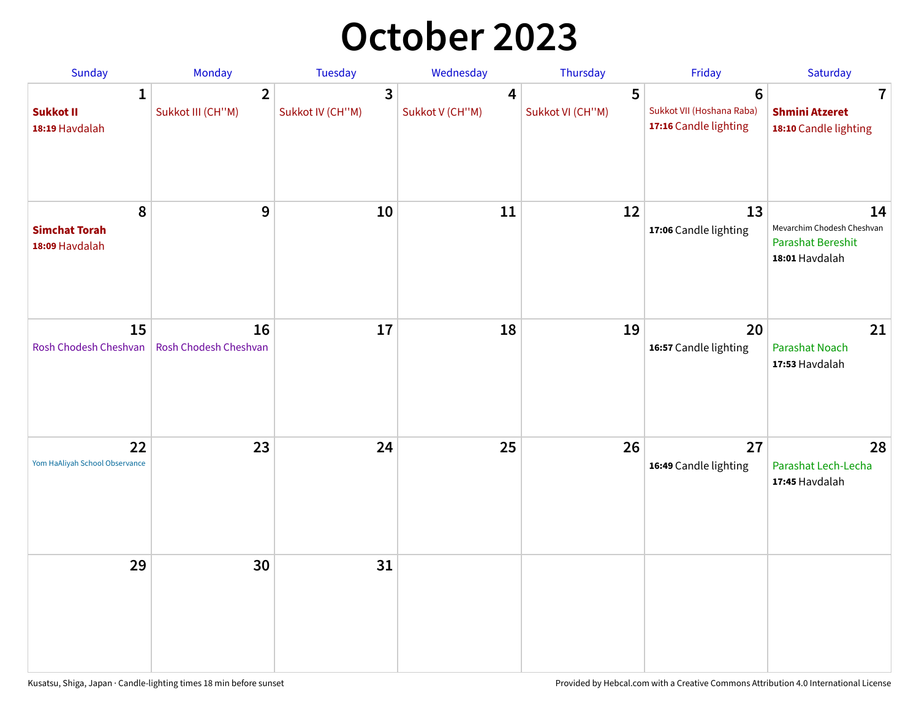### **October 2023**

| Sunday                                             | Monday                              | <b>Tuesday</b>        | Wednesday                         | Thursday              | Friday                                                               | Saturday                                                                       |
|----------------------------------------------------|-------------------------------------|-----------------------|-----------------------------------|-----------------------|----------------------------------------------------------------------|--------------------------------------------------------------------------------|
| $\mathbf{1}$<br><b>Sukkot II</b><br>18:19 Havdalah | $\overline{2}$<br>Sukkot III (CH"M) | 3<br>Sukkot IV (CH"M) | $\overline{4}$<br>Sukkot V (CH"M) | 5<br>Sukkot VI (CH"M) | $6\phantom{1}$<br>Sukkot VII (Hoshana Raba)<br>17:16 Candle lighting | $\overline{\mathbf{7}}$<br><b>Shmini Atzeret</b><br>18:10 Candle lighting      |
| 8<br><b>Simchat Torah</b><br>18:09 Havdalah        | 9                                   | 10                    | 11                                | 12                    | 13<br>17:06 Candle lighting                                          | 14<br>Mevarchim Chodesh Cheshvan<br><b>Parashat Bereshit</b><br>18:01 Havdalah |
| 15<br>Rosh Chodesh Cheshvan                        | 16<br>Rosh Chodesh Cheshvan         | 17                    | 18                                | 19                    | 20<br>16:57 Candle lighting                                          | 21<br>Parashat Noach<br>17:53 Havdalah                                         |
| 22<br>Yom HaAliyah School Observance               | 23                                  | 24                    | 25                                | 26                    | 27<br>16:49 Candle lighting                                          | 28<br>Parashat Lech-Lecha<br>17:45 Havdalah                                    |
| 29                                                 | 30                                  | 31                    |                                   |                       |                                                                      |                                                                                |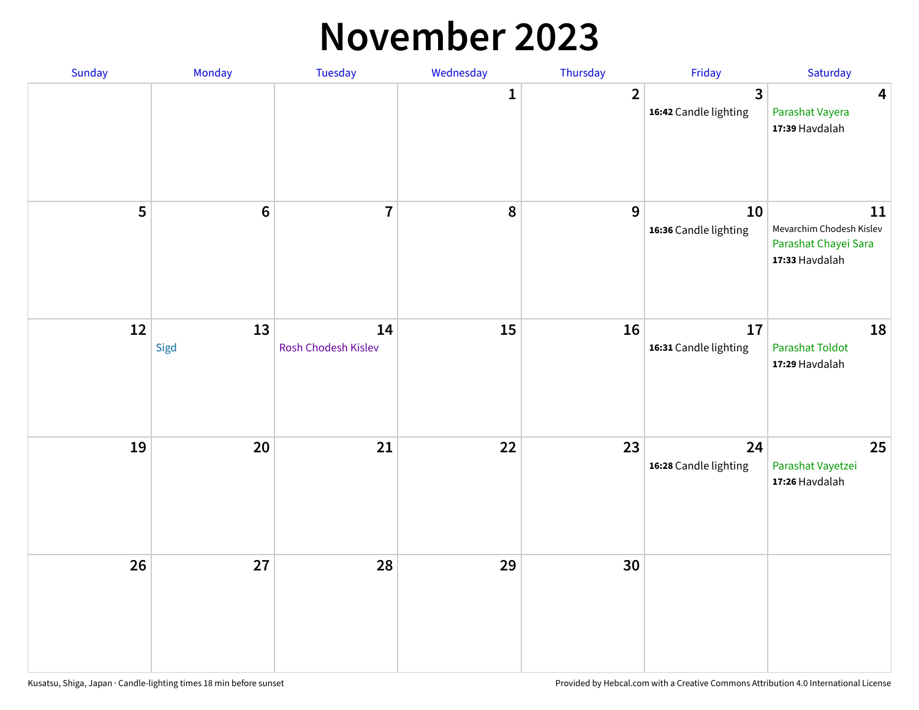#### **November 2023**

| Sunday | Monday          | Tuesday                   | Wednesday | Thursday       | Friday                      | Saturday                                                                 |
|--------|-----------------|---------------------------|-----------|----------------|-----------------------------|--------------------------------------------------------------------------|
|        |                 |                           | 1         | $\overline{2}$ | 3<br>16:42 Candle lighting  | $\overline{\mathbf{4}}$<br>Parashat Vayera<br>17:39 Havdalah             |
| 5      | $6\phantom{1}6$ | $\overline{1}$            | 8         | 9              | 10<br>16:36 Candle lighting | 11<br>Mevarchim Chodesh Kislev<br>Parashat Chayei Sara<br>17:33 Havdalah |
| 12     | 13<br>Sigd      | 14<br>Rosh Chodesh Kislev | 15        | 16             | 17<br>16:31 Candle lighting | 18<br><b>Parashat Toldot</b><br>17:29 Havdalah                           |
| 19     | 20              | 21                        | 22        | 23             | 24<br>16:28 Candle lighting | 25<br>Parashat Vayetzei<br>17:26 Havdalah                                |
| 26     | 27              | 28                        | 29        | 30             |                             |                                                                          |